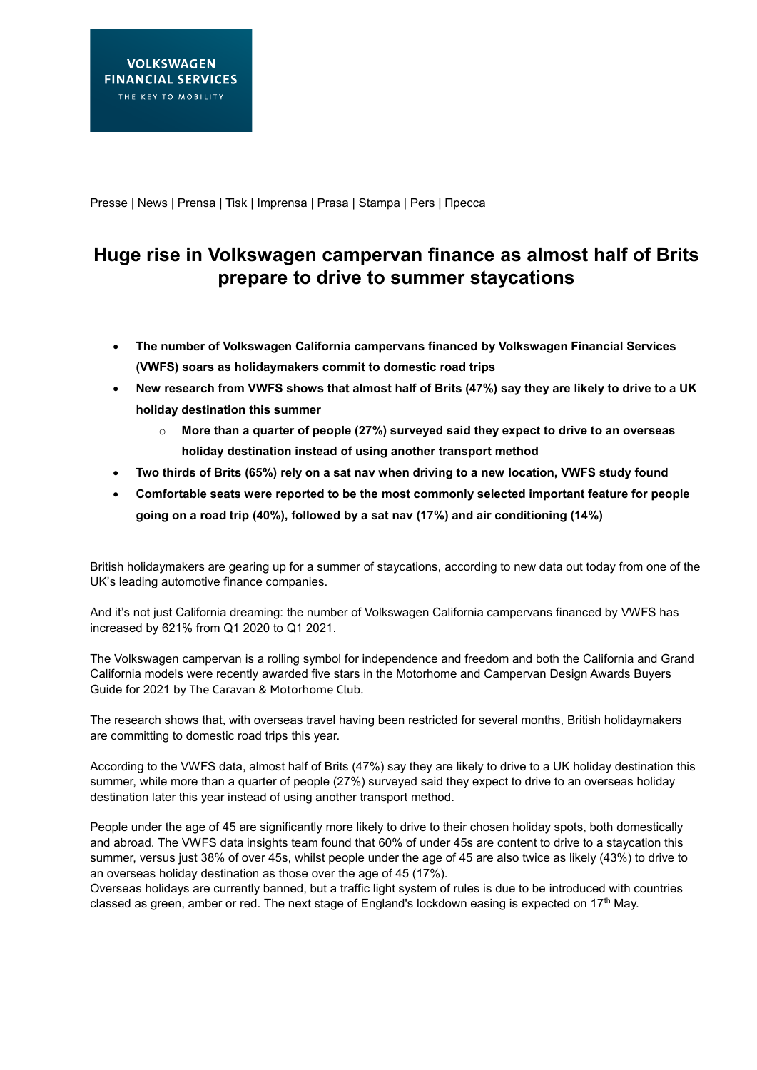Presse | News | Prensa | Tisk | Imprensa | Prasa | Stampa | Pers | Пресса

# **Huge rise in Volkswagen campervan finance as almost half of Brits prepare to drive to summer staycations**

- **The number of Volkswagen California campervans financed by Volkswagen Financial Services (VWFS) soars as holidaymakers commit to domestic road trips**
- **New research from VWFS shows that almost half of Brits (47%) say they are likely to drive to a UK holiday destination this summer**
	- o **More than a quarter of people (27%) surveyed said they expect to drive to an overseas holiday destination instead of using another transport method**
- **Two thirds of Brits (65%) rely on a sat nav when driving to a new location, VWFS study found**
- **Comfortable seats were reported to be the most commonly selected important feature for people going on a road trip (40%), followed by a sat nav (17%) and air conditioning (14%)**

British holidaymakers are gearing up for a summer of staycations, according to new data out today from one of the UK's leading automotive finance companies.

And it's not just California dreaming: the number of Volkswagen California campervans financed by VWFS has increased by 621% from Q1 2020 to Q1 2021.

The Volkswagen campervan is a rolling symbol for independence and freedom and both the California and Grand California models were recently awarded five stars in the Motorhome and Campervan Design Awards Buyers Guide for 2021 by The Caravan & Motorhome Club.

The research shows that, with overseas travel having been restricted for several months, British holidaymakers are committing to domestic road trips this year.

According to the VWFS data, almost half of Brits (47%) say they are likely to drive to a UK holiday destination this summer, while more than a quarter of people (27%) surveyed said they expect to drive to an overseas holiday destination later this year instead of using another transport method.

People under the age of 45 are significantly more likely to drive to their chosen holiday spots, both domestically and abroad. The VWFS data insights team found that 60% of under 45s are content to drive to a staycation this summer, versus just 38% of over 45s, whilst people under the age of 45 are also twice as likely (43%) to drive to an overseas holiday destination as those over the age of 45 (17%).

Overseas holidays are currently banned, but a traffic light system of rules is due to be introduced with countries classed as green, amber or red. The next stage of England's lockdown easing is expected on 17<sup>th</sup> May.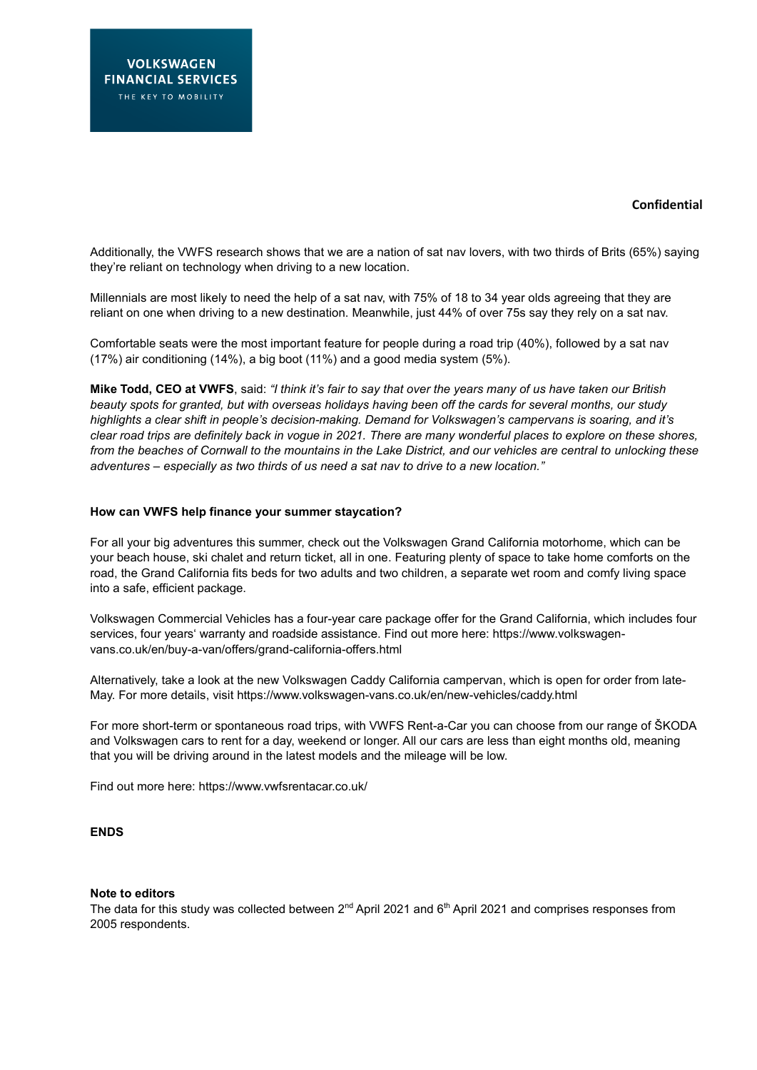## **Confidential**

Additionally, the VWFS research shows that we are a nation of sat nav lovers, with two thirds of Brits (65%) saying they're reliant on technology when driving to a new location.

Millennials are most likely to need the help of a sat nav, with 75% of 18 to 34 year olds agreeing that they are reliant on one when driving to a new destination. Meanwhile, just 44% of over 75s say they rely on a sat nav.

Comfortable seats were the most important feature for people during a road trip (40%), followed by a sat nav (17%) air conditioning (14%), a big boot (11%) and a good media system (5%).

**Mike Todd, CEO at VWFS**, said: *"I think it's fair to say that over the years many of us have taken our British beauty spots for granted, but with overseas holidays having been off the cards for several months, our study highlights a clear shift in people's decision-making. Demand for Volkswagen's campervans is soaring, and it's clear road trips are definitely back in vogue in 2021. There are many wonderful places to explore on these shores, from the beaches of Cornwall to the mountains in the Lake District, and our vehicles are central to unlocking these adventures – especially as two thirds of us need a sat nav to drive to a new location."*

#### **How can VWFS help finance your summer staycation?**

For all your big adventures this summer, check out the Volkswagen Grand California motorhome, which can be your beach house, ski chalet and return ticket, all in one. Featuring plenty of space to take home comforts on the road, the Grand California fits beds for two adults and two children, a separate wet room and comfy living space into a safe, efficient package.

Volkswagen Commercial Vehicles has a four-year care package offer for the Grand California, which includes four services, four years' warranty and roadside assistance. Find out more here: [https://www.volkswagen](https://www.volkswagen-vans.co.uk/en/buy-a-van/offers/grand-california-offers.html)[vans.co.uk/en/buy-a-van/offers/grand-california-offers.html](https://www.volkswagen-vans.co.uk/en/buy-a-van/offers/grand-california-offers.html)

Alternatively, take a look at the new Volkswagen Caddy California campervan, which is open for order from late-May. For more details, visit<https://www.volkswagen-vans.co.uk/en/new-vehicles/caddy.html>

For more short-term or spontaneous road trips, with VWFS Rent-a-Car you can choose from our range of ŠKODA and Volkswagen cars to rent for a day, weekend or longer. All our cars are less than eight months old, meaning that you will be driving around in the latest models and the mileage will be low.

Find out more here:<https://www.vwfsrentacar.co.uk/>

## **ENDS**

#### **Note to editors**

The data for this study was collected between  $2^{nd}$  April 2021 and 6<sup>th</sup> April 2021 and comprises responses from 2005 respondents.